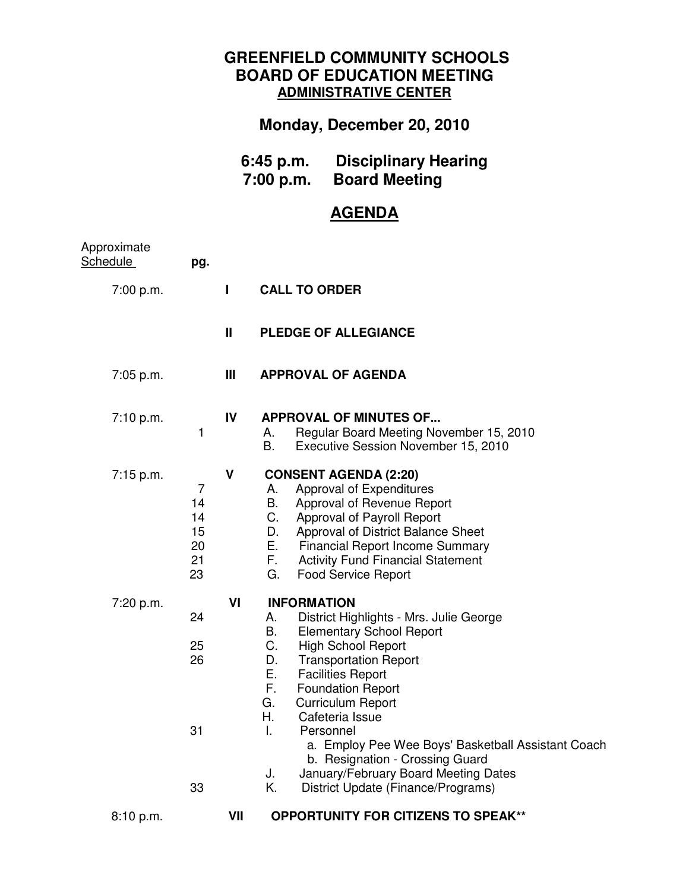## **GREENFIELD COMMUNITY SCHOOLS BOARD OF EDUCATION MEETING ADMINISTRATIVE CENTER**

## **Monday, December 20, 2010**

| $6:45$ p.m. | <b>Disciplinary Hearing</b> |
|-------------|-----------------------------|
| 7:00 p.m.   | <b>Board Meeting</b>        |

## **AGENDA**

| Approximate<br>Schedule | pg.                                   |              |                                                                                                                                                                                                                                                                                                                                                                                                                                                                                                                            |
|-------------------------|---------------------------------------|--------------|----------------------------------------------------------------------------------------------------------------------------------------------------------------------------------------------------------------------------------------------------------------------------------------------------------------------------------------------------------------------------------------------------------------------------------------------------------------------------------------------------------------------------|
| 7:00 p.m.               |                                       | L            | <b>CALL TO ORDER</b>                                                                                                                                                                                                                                                                                                                                                                                                                                                                                                       |
|                         |                                       | $\mathbf{I}$ | <b>PLEDGE OF ALLEGIANCE</b>                                                                                                                                                                                                                                                                                                                                                                                                                                                                                                |
| 7:05 p.m.               |                                       | Ш            | <b>APPROVAL OF AGENDA</b>                                                                                                                                                                                                                                                                                                                                                                                                                                                                                                  |
| 7:10 p.m.               | 1                                     | IV           | <b>APPROVAL OF MINUTES OF</b><br>A.<br>Regular Board Meeting November 15, 2010<br><b>B.</b><br>Executive Session November 15, 2010                                                                                                                                                                                                                                                                                                                                                                                         |
| 7:15 p.m.               | 7<br>14<br>14<br>15<br>20<br>21<br>23 | V            | <b>CONSENT AGENDA (2:20)</b><br>Approval of Expenditures<br>А.<br>В.<br>Approval of Revenue Report<br>C.<br>Approval of Payroll Report<br>D.<br>Approval of District Balance Sheet<br>Е.<br><b>Financial Report Income Summary</b><br>F.<br><b>Activity Fund Financial Statement</b><br>G.<br><b>Food Service Report</b>                                                                                                                                                                                                   |
| 7:20 p.m.               | 24<br>25<br>26<br>31<br>33            | VI           | <b>INFORMATION</b><br>District Highlights - Mrs. Julie George<br>А.<br>В.<br><b>Elementary School Report</b><br>C.<br><b>High School Report</b><br>D.<br><b>Transportation Report</b><br>Е.<br><b>Facilities Report</b><br>F.<br><b>Foundation Report</b><br>G.<br><b>Curriculum Report</b><br>Η.<br>Cafeteria Issue<br>L.<br>Personnel<br>a. Employ Pee Wee Boys' Basketball Assistant Coach<br>b. Resignation - Crossing Guard<br>January/February Board Meeting Dates<br>J.<br>Κ.<br>District Update (Finance/Programs) |
| 8:10 p.m.               |                                       | VII          | <b>OPPORTUNITY FOR CITIZENS TO SPEAK**</b>                                                                                                                                                                                                                                                                                                                                                                                                                                                                                 |